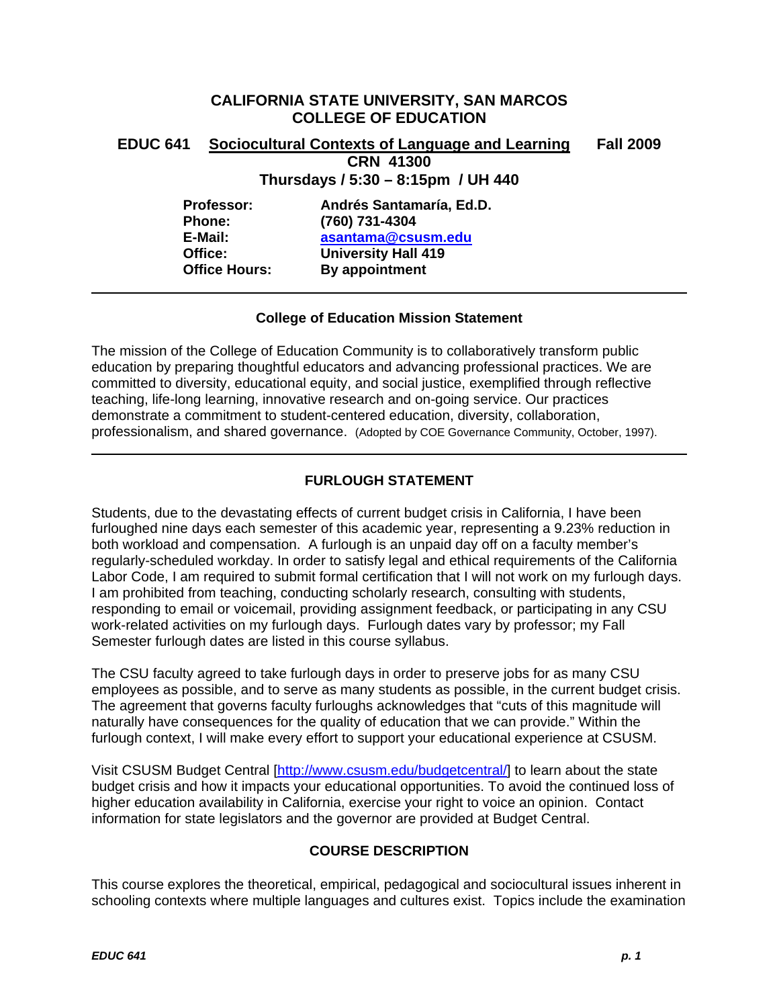# **CALIFORNIA STATE UNIVERSITY, SAN MARCOS COLLEGE OF EDUCATION**

# **EDUC 641 Sociocultural Contexts of Language and Learning Fall 2009 CRN 41300**

**Thursdays / 5:30 – 8:15pm / UH 440** 

| Professor:           |
|----------------------|
| <b>Phone:</b>        |
| E-Mail:              |
| Office:              |
| <b>Office Hours:</b> |

**Professor: Andrés Santamaría, Ed.D. Phone: (760) 731-4304 E-Mail: asantama@csusm.edu University Hall 419 By appointment** 

### **College of Education Mission Statement**

The mission of the College of Education Community is to collaboratively transform public education by preparing thoughtful educators and advancing professional practices. We are committed to diversity, educational equity, and social justice, exemplified through reflective teaching, life-long learning, innovative research and on-going service. Our practices demonstrate a commitment to student-centered education, diversity, collaboration, professionalism, and shared governance. (Adopted by COE Governance Community, October, 1997).

## **FURLOUGH STATEMENT**

Students, due to the devastating effects of current budget crisis in California, I have been furloughed nine days each semester of this academic year, representing a 9.23% reduction in both workload and compensation. A furlough is an unpaid day off on a faculty member's regularly-scheduled workday. In order to satisfy legal and ethical requirements of the California Labor Code, I am required to submit formal certification that I will not work on my furlough days. I am prohibited from teaching, conducting scholarly research, consulting with students, responding to email or voicemail, providing assignment feedback, or participating in any CSU work-related activities on my furlough days. Furlough dates vary by professor; my Fall Semester furlough dates are listed in this course syllabus.

The CSU faculty agreed to take furlough days in order to preserve jobs for as many CSU employees as possible, and to serve as many students as possible, in the current budget crisis. The agreement that governs faculty furloughs acknowledges that "cuts of this magnitude will naturally have consequences for the quality of education that we can provide." Within the furlough context, I will make every effort to support your educational experience at CSUSM.

Visit CSUSM Budget Central [http://www.csusm.edu/budgetcentral/] to learn about the state budget crisis and how it impacts your educational opportunities. To avoid the continued loss of higher education availability in California, exercise your right to voice an opinion. Contact information for state legislators and the governor are provided at Budget Central.

## **COURSE DESCRIPTION**

This course explores the theoretical, empirical, pedagogical and sociocultural issues inherent in schooling contexts where multiple languages and cultures exist. Topics include the examination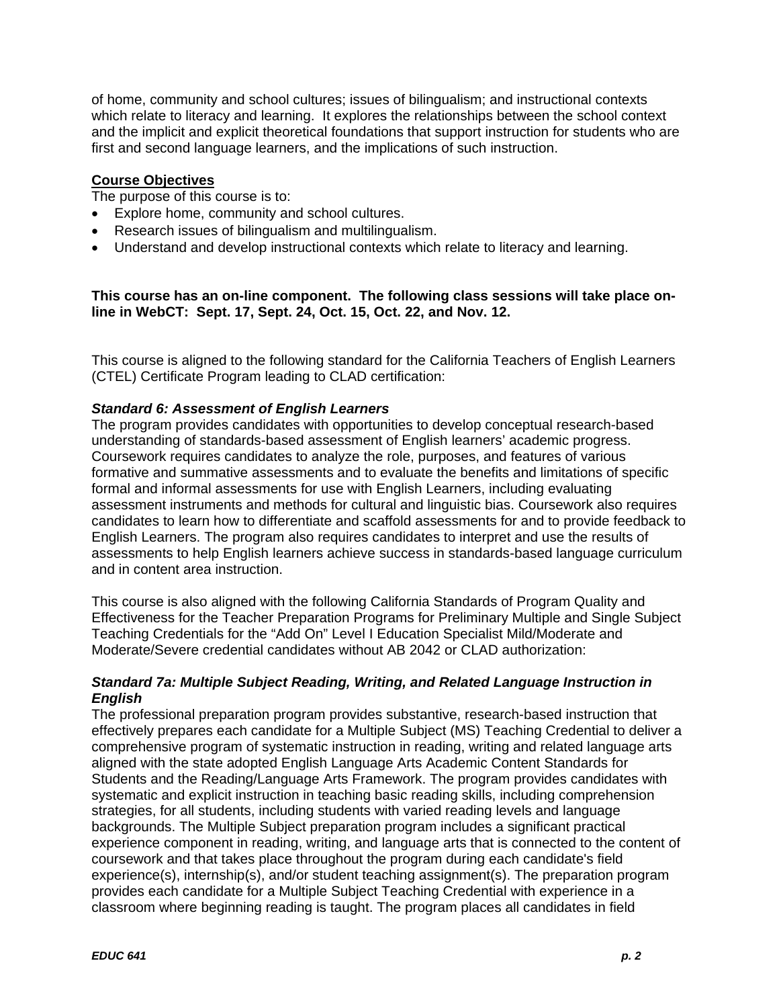of home, community and school cultures; issues of bilingualism; and instructional contexts which relate to literacy and learning. It explores the relationships between the school context and the implicit and explicit theoretical foundations that support instruction for students who are first and second language learners, and the implications of such instruction.

### **Course Objectives**

The purpose of this course is to:

- Explore home, community and school cultures.
- Research issues of bilingualism and multilingualism.
- Understand and develop instructional contexts which relate to literacy and learning.

**This course has an on-line component. The following class sessions will take place online in WebCT: Sept. 17, Sept. 24, Oct. 15, Oct. 22, and Nov. 12.** 

This course is aligned to the following standard for the California Teachers of English Learners (CTEL) Certificate Program leading to CLAD certification:

### *Standard 6: Assessment of English Learners*

The program provides candidates with opportunities to develop conceptual research-based understanding of standards-based assessment of English learners' academic progress. Coursework requires candidates to analyze the role, purposes, and features of various formative and summative assessments and to evaluate the benefits and limitations of specific formal and informal assessments for use with English Learners, including evaluating assessment instruments and methods for cultural and linguistic bias. Coursework also requires candidates to learn how to differentiate and scaffold assessments for and to provide feedback to English Learners. The program also requires candidates to interpret and use the results of assessments to help English learners achieve success in standards-based language curriculum and in content area instruction.

This course is also aligned with the following California Standards of Program Quality and Effectiveness for the Teacher Preparation Programs for Preliminary Multiple and Single Subject Teaching Credentials for the "Add On" Level I Education Specialist Mild/Moderate and Moderate/Severe credential candidates without AB 2042 or CLAD authorization:

### *Standard 7a: Multiple Subject Reading, Writing, and Related Language Instruction in English*

The professional preparation program provides substantive, research-based instruction that effectively prepares each candidate for a Multiple Subject (MS) Teaching Credential to deliver a comprehensive program of systematic instruction in reading, writing and related language arts aligned with the state adopted English Language Arts Academic Content Standards for Students and the Reading/Language Arts Framework. The program provides candidates with systematic and explicit instruction in teaching basic reading skills, including comprehension strategies, for all students, including students with varied reading levels and language backgrounds. The Multiple Subject preparation program includes a significant practical experience component in reading, writing, and language arts that is connected to the content of coursework and that takes place throughout the program during each candidate's field experience(s), internship(s), and/or student teaching assignment(s). The preparation program provides each candidate for a Multiple Subject Teaching Credential with experience in a classroom where beginning reading is taught. The program places all candidates in field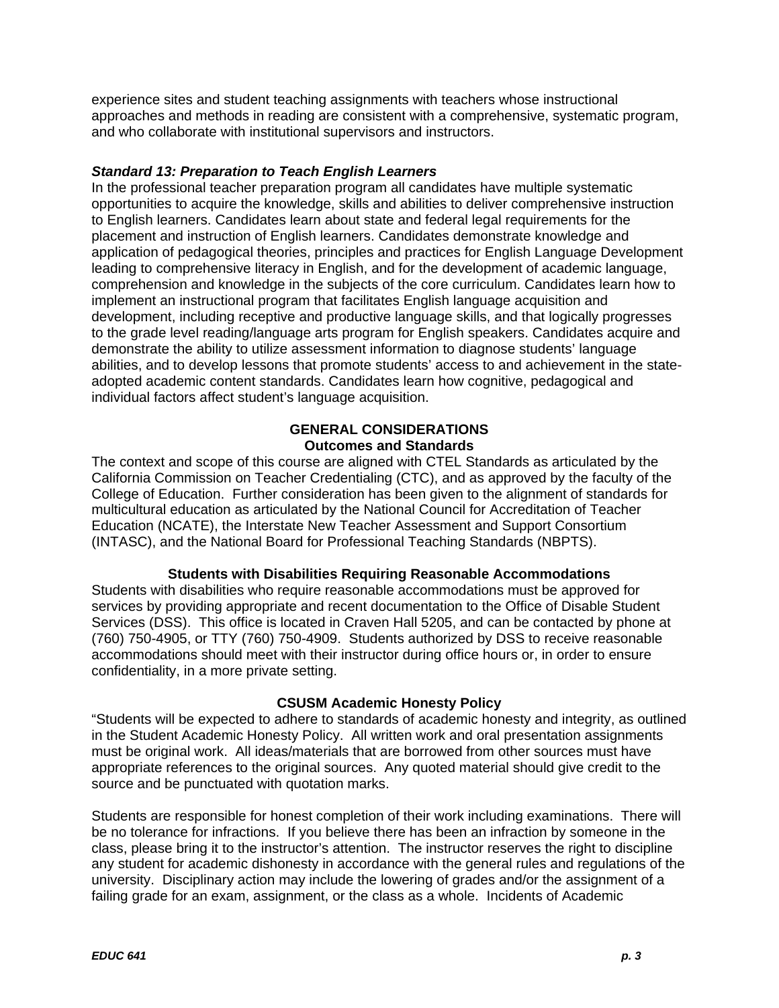experience sites and student teaching assignments with teachers whose instructional approaches and methods in reading are consistent with a comprehensive, systematic program, and who collaborate with institutional supervisors and instructors.

### *Standard 13: Preparation to Teach English Learners*

In the professional teacher preparation program all candidates have multiple systematic opportunities to acquire the knowledge, skills and abilities to deliver comprehensive instruction to English learners. Candidates learn about state and federal legal requirements for the placement and instruction of English learners. Candidates demonstrate knowledge and application of pedagogical theories, principles and practices for English Language Development leading to comprehensive literacy in English, and for the development of academic language, comprehension and knowledge in the subjects of the core curriculum. Candidates learn how to implement an instructional program that facilitates English language acquisition and development, including receptive and productive language skills, and that logically progresses to the grade level reading/language arts program for English speakers. Candidates acquire and demonstrate the ability to utilize assessment information to diagnose students' language abilities, and to develop lessons that promote students' access to and achievement in the stateadopted academic content standards. Candidates learn how cognitive, pedagogical and individual factors affect student's language acquisition.

### **GENERAL CONSIDERATIONS Outcomes and Standards**

The context and scope of this course are aligned with CTEL Standards as articulated by the California Commission on Teacher Credentialing (CTC), and as approved by the faculty of the College of Education. Further consideration has been given to the alignment of standards for multicultural education as articulated by the National Council for Accreditation of Teacher Education (NCATE), the Interstate New Teacher Assessment and Support Consortium (INTASC), and the National Board for Professional Teaching Standards (NBPTS).

### **Students with Disabilities Requiring Reasonable Accommodations**

Students with disabilities who require reasonable accommodations must be approved for services by providing appropriate and recent documentation to the Office of Disable Student Services (DSS). This office is located in Craven Hall 5205, and can be contacted by phone at (760) 750-4905, or TTY (760) 750-4909. Students authorized by DSS to receive reasonable accommodations should meet with their instructor during office hours or, in order to ensure confidentiality, in a more private setting.

### **CSUSM Academic Honesty Policy**

"Students will be expected to adhere to standards of academic honesty and integrity, as outlined in the Student Academic Honesty Policy. All written work and oral presentation assignments must be original work. All ideas/materials that are borrowed from other sources must have appropriate references to the original sources. Any quoted material should give credit to the source and be punctuated with quotation marks.

Students are responsible for honest completion of their work including examinations. There will be no tolerance for infractions. If you believe there has been an infraction by someone in the class, please bring it to the instructor's attention. The instructor reserves the right to discipline any student for academic dishonesty in accordance with the general rules and regulations of the university. Disciplinary action may include the lowering of grades and/or the assignment of a failing grade for an exam, assignment, or the class as a whole. Incidents of Academic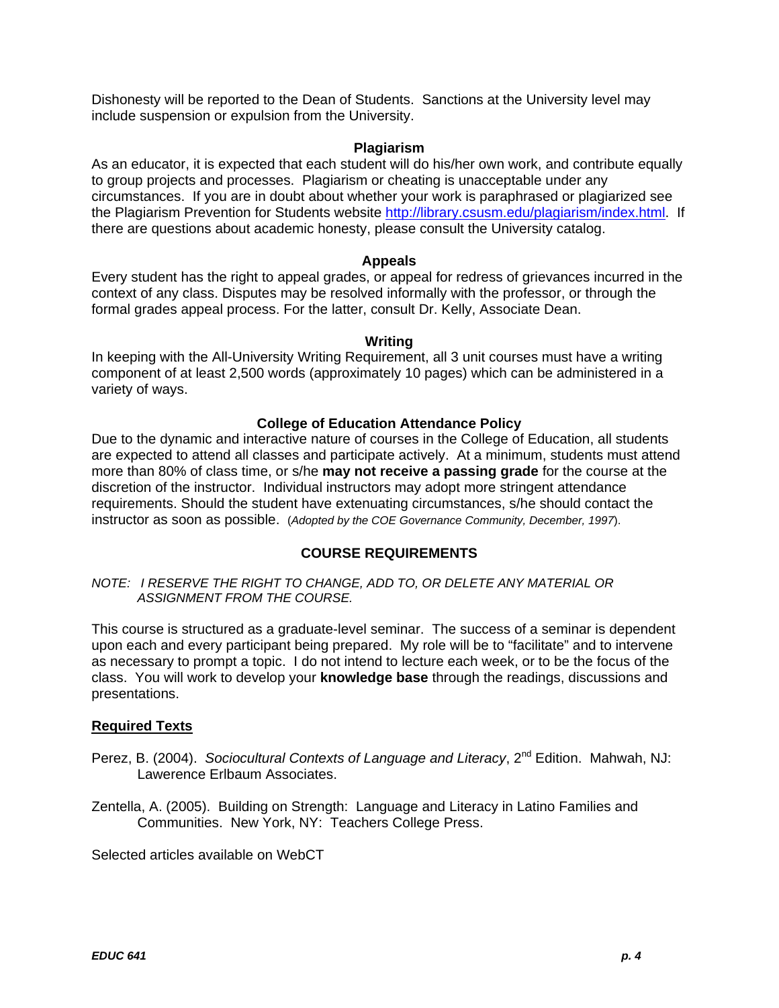Dishonesty will be reported to the Dean of Students. Sanctions at the University level may include suspension or expulsion from the University.

### **Plagiarism**

As an educator, it is expected that each student will do his/her own work, and contribute equally to group projects and processes. Plagiarism or cheating is unacceptable under any circumstances. If you are in doubt about whether your work is paraphrased or plagiarized see the Plagiarism Prevention for Students website http://library.csusm.edu/plagiarism/index.html. If there are questions about academic honesty, please consult the University catalog.

### **Appeals**

Every student has the right to appeal grades, or appeal for redress of grievances incurred in the context of any class. Disputes may be resolved informally with the professor, or through the formal grades appeal process. For the latter, consult Dr. Kelly, Associate Dean.

### **Writing**

In keeping with the All-University Writing Requirement, all 3 unit courses must have a writing component of at least 2,500 words (approximately 10 pages) which can be administered in a variety of ways.

### **College of Education Attendance Policy**

Due to the dynamic and interactive nature of courses in the College of Education, all students are expected to attend all classes and participate actively. At a minimum, students must attend more than 80% of class time, or s/he **may not receive a passing grade** for the course at the discretion of the instructor. Individual instructors may adopt more stringent attendance requirements. Should the student have extenuating circumstances, s/he should contact the instructor as soon as possible. (*Adopted by the COE Governance Community, December, 1997*).

### **COURSE REQUIREMENTS**

*NOTE: I RESERVE THE RIGHT TO CHANGE, ADD TO, OR DELETE ANY MATERIAL OR ASSIGNMENT FROM THE COURSE.* 

This course is structured as a graduate-level seminar. The success of a seminar is dependent upon each and every participant being prepared. My role will be to "facilitate" and to intervene as necessary to prompt a topic. I do not intend to lecture each week, or to be the focus of the class. You will work to develop your **knowledge base** through the readings, discussions and presentations.

### **Required Texts**

- Perez, B. (2004). *Sociocultural Contexts of Language and Literacy*, 2<sup>nd</sup> Edition. Mahwah, NJ: Lawerence Erlbaum Associates.
- Zentella, A. (2005). Building on Strength: Language and Literacy in Latino Families and Communities. New York, NY: Teachers College Press.

Selected articles available on WebCT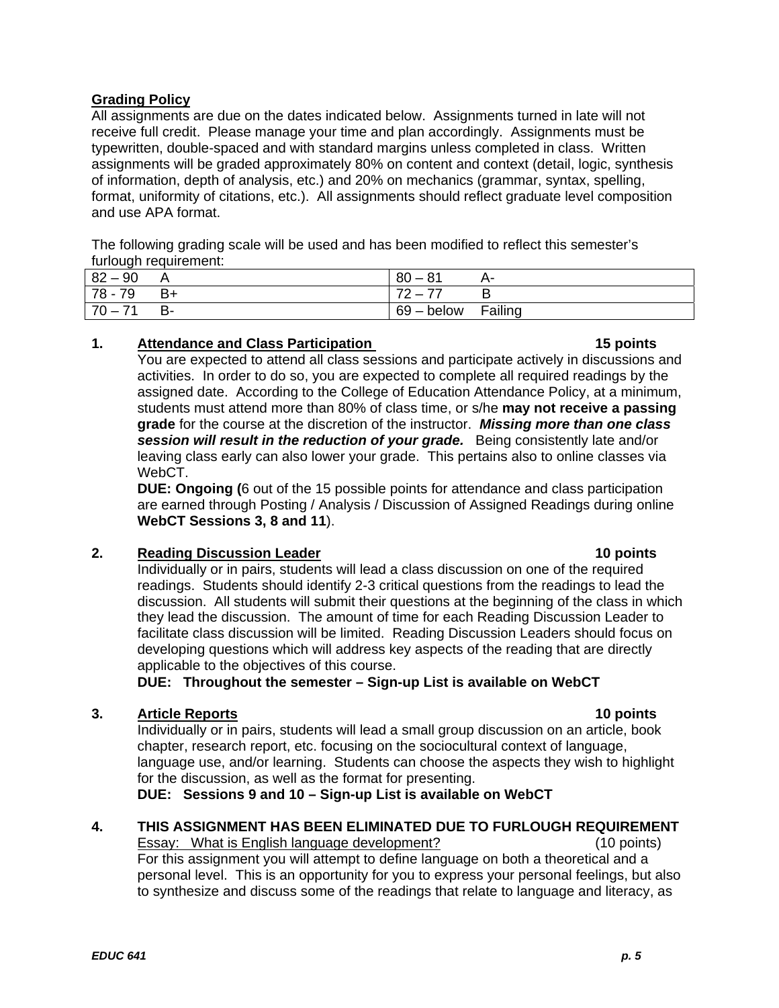### **Grading Policy**

All assignments are due on the dates indicated below. Assignments turned in late will not receive full credit. Please manage your time and plan accordingly. Assignments must be typewritten, double-spaced and with standard margins unless completed in class. Written assignments will be graded approximately 80% on content and context (detail, logic, synthesis of information, depth of analysis, etc.) and 20% on mechanics (grammar, syntax, spelling, format, uniformity of citations, etc.). All assignments should reflect graduate level composition and use APA format.

The following grading scale will be used and has been modified to reflect this semester's furlough requirement:

| . .            |    |                                     |           |
|----------------|----|-------------------------------------|-----------|
| 82<br>90       | А  | O 4<br>80<br>__<br>$\mathbf{O}$     | <b>A-</b> |
| $78 - 1$<br>79 | B+ | $\overline{\phantom{a}}$<br>--<br>- |           |
| 70             | D- | 69<br>– below                       | Failing   |

### **1.** Attendance and Class Participation

You are expected to attend all class sessions and participate actively in discussions and activities. In order to do so, you are expected to complete all required readings by the assigned date. According to the College of Education Attendance Policy, at a minimum, students must attend more than 80% of class time, or s/he **may not receive a passing grade** for the course at the discretion of the instructor. *Missing more than one class session will result in the reduction of your grade.* Being consistently late and/or leaving class early can also lower your grade. This pertains also to online classes via WebCT.

**DUE: Ongoing (**6 out of the 15 possible points for attendance and class participation are earned through Posting / Analysis / Discussion of Assigned Readings during online **WebCT Sessions 3, 8 and 11**).

### **2.** Reading Discussion Leader **10 points 10 points 10 points**

Individually or in pairs, students will lead a class discussion on one of the required readings. Students should identify 2-3 critical questions from the readings to lead the discussion. All students will submit their questions at the beginning of the class in which they lead the discussion. The amount of time for each Reading Discussion Leader to facilitate class discussion will be limited. Reading Discussion Leaders should focus on developing questions which will address key aspects of the reading that are directly applicable to the objectives of this course.

**DUE: Throughout the semester – Sign-up List is available on WebCT** 

### **3.** Article Reports **10 points 10 points**

Individually or in pairs, students will lead a small group discussion on an article, book chapter, research report, etc. focusing on the sociocultural context of language, language use, and/or learning. Students can choose the aspects they wish to highlight for the discussion, as well as the format for presenting.

**DUE: Sessions 9 and 10 – Sign-up List is available on WebCT** 

### Essay: What is English language development? (10 points) **4. THIS ASSIGNMENT HAS BEEN ELIMINATED DUE TO FURLOUGH REQUIREMENT**

For this assignment you will attempt to define language on both a theoretical and a personal level. This is an opportunity for you to express your personal feelings, but also to synthesize and discuss some of the readings that relate to language and literacy, as

15 points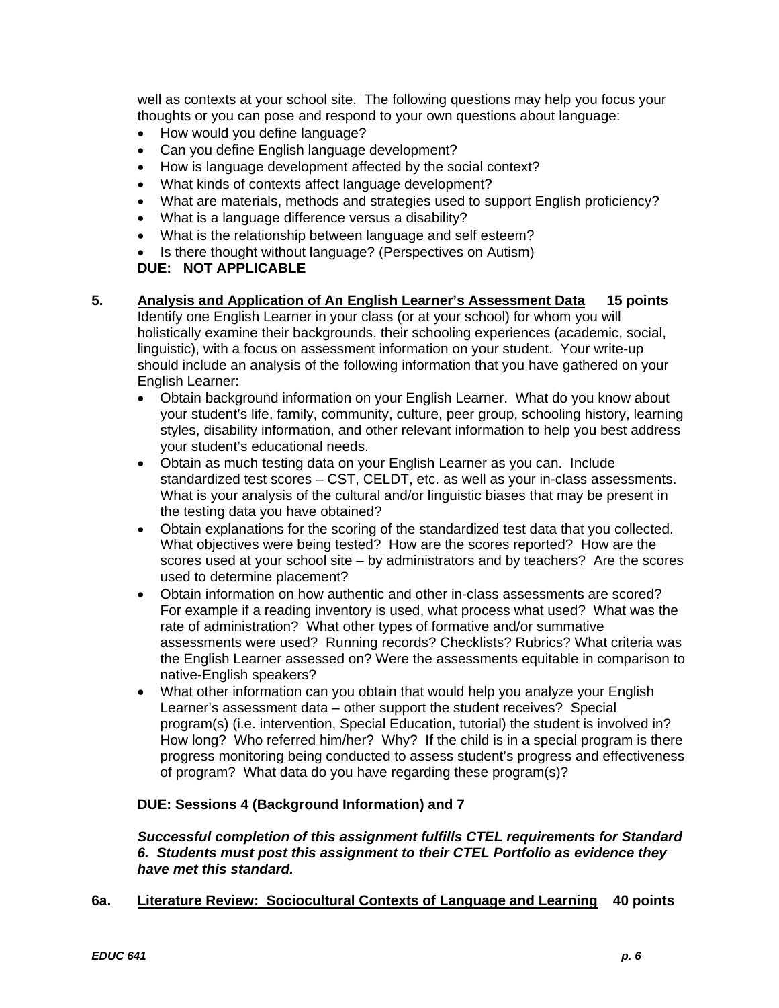well as contexts at your school site. The following questions may help you focus your thoughts or you can pose and respond to your own questions about language:

- How would you define language?
- Can you define English language development?
- How is language development affected by the social context?
- What kinds of contexts affect language development?
- What are materials, methods and strategies used to support English proficiency?
- What is a language difference versus a disability?
- What is the relationship between language and self esteem?
- Is there thought without language? (Perspectives on Autism)

### **DUE: NOT APPLICABLE**

- **5. Analysis and Application of An English Learner's Assessment Data 15 points**  Identify one English Learner in your class (or at your school) for whom you will holistically examine their backgrounds, their schooling experiences (academic, social, linguistic), with a focus on assessment information on your student. Your write-up should include an analysis of the following information that you have gathered on your English Learner:
	- Obtain background information on your English Learner. What do you know about your student's life, family, community, culture, peer group, schooling history, learning styles, disability information, and other relevant information to help you best address your student's educational needs.
	- Obtain as much testing data on your English Learner as you can. Include standardized test scores – CST, CELDT, etc. as well as your in-class assessments. What is your analysis of the cultural and/or linguistic biases that may be present in the testing data you have obtained?
	- Obtain explanations for the scoring of the standardized test data that you collected. What objectives were being tested? How are the scores reported? How are the scores used at your school site – by administrators and by teachers? Are the scores used to determine placement?
	- Obtain information on how authentic and other in-class assessments are scored? For example if a reading inventory is used, what process what used? What was the rate of administration? What other types of formative and/or summative assessments were used? Running records? Checklists? Rubrics? What criteria was the English Learner assessed on? Were the assessments equitable in comparison to native-English speakers?
	- What other information can you obtain that would help you analyze your English Learner's assessment data – other support the student receives? Special program(s) (i.e. intervention, Special Education, tutorial) the student is involved in? How long? Who referred him/her? Why? If the child is in a special program is there progress monitoring being conducted to assess student's progress and effectiveness of program? What data do you have regarding these program(s)?

### **DUE: Sessions 4 (Background Information) and 7**

### *Successful completion of this assignment fulfills CTEL requirements for Standard 6. Students must post this assignment to their CTEL Portfolio as evidence they have met this standard.*

### **6a. Literature Review: Sociocultural Contexts of Language and Learning 40 points**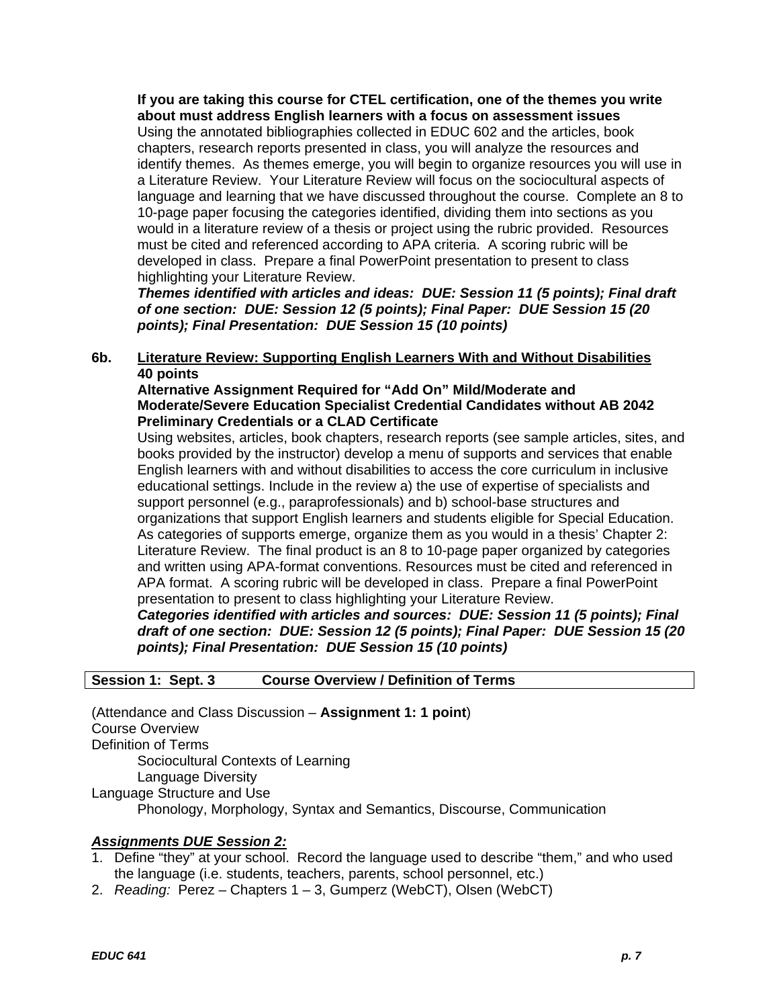**If you are taking this course for CTEL certification, one of the themes you write about must address English learners with a focus on assessment issues**  Using the annotated bibliographies collected in EDUC 602 and the articles, book chapters, research reports presented in class, you will analyze the resources and identify themes. As themes emerge, you will begin to organize resources you will use in a Literature Review. Your Literature Review will focus on the sociocultural aspects of language and learning that we have discussed throughout the course. Complete an 8 to 10-page paper focusing the categories identified, dividing them into sections as you would in a literature review of a thesis or project using the rubric provided. Resources must be cited and referenced according to APA criteria. A scoring rubric will be developed in class. Prepare a final PowerPoint presentation to present to class highlighting your Literature Review.

*Themes identified with articles and ideas: DUE: Session 11 (5 points); Final draft of one section: DUE: Session 12 (5 points); Final Paper: DUE Session 15 (20 points); Final Presentation: DUE Session 15 (10 points)* 

### **6b. Literature Review: Supporting English Learners With and Without Disabilities 40 points**

### **Alternative Assignment Required for "Add On" Mild/Moderate and Moderate/Severe Education Specialist Credential Candidates without AB 2042 Preliminary Credentials or a CLAD Certificate**

Using websites, articles, book chapters, research reports (see sample articles, sites, and books provided by the instructor) develop a menu of supports and services that enable English learners with and without disabilities to access the core curriculum in inclusive educational settings. Include in the review a) the use of expertise of specialists and support personnel (e.g., paraprofessionals) and b) school-base structures and organizations that support English learners and students eligible for Special Education. As categories of supports emerge, organize them as you would in a thesis' Chapter 2: Literature Review. The final product is an 8 to 10-page paper organized by categories and written using APA-format conventions. Resources must be cited and referenced in APA format. A scoring rubric will be developed in class. Prepare a final PowerPoint presentation to present to class highlighting your Literature Review.

*Categories identified with articles and sources: DUE: Session 11 (5 points); Final draft of one section: DUE: Session 12 (5 points); Final Paper: DUE Session 15 (20 points); Final Presentation: DUE Session 15 (10 points)* 

### **Session 1: Sept. 3 Course Overview / Definition of Terms**

(Attendance and Class Discussion – **Assignment 1: 1 point**) Course Overview Definition of Terms Sociocultural Contexts of Learning Language Diversity Language Structure and Use Phonology, Morphology, Syntax and Semantics, Discourse, Communication

### *Assignments DUE Session 2:*

- 1. Define "they" at your school. Record the language used to describe "them," and who used the language (i.e. students, teachers, parents, school personnel, etc.)
- 2. *Reading:* Perez Chapters 1 3, Gumperz (WebCT), Olsen (WebCT)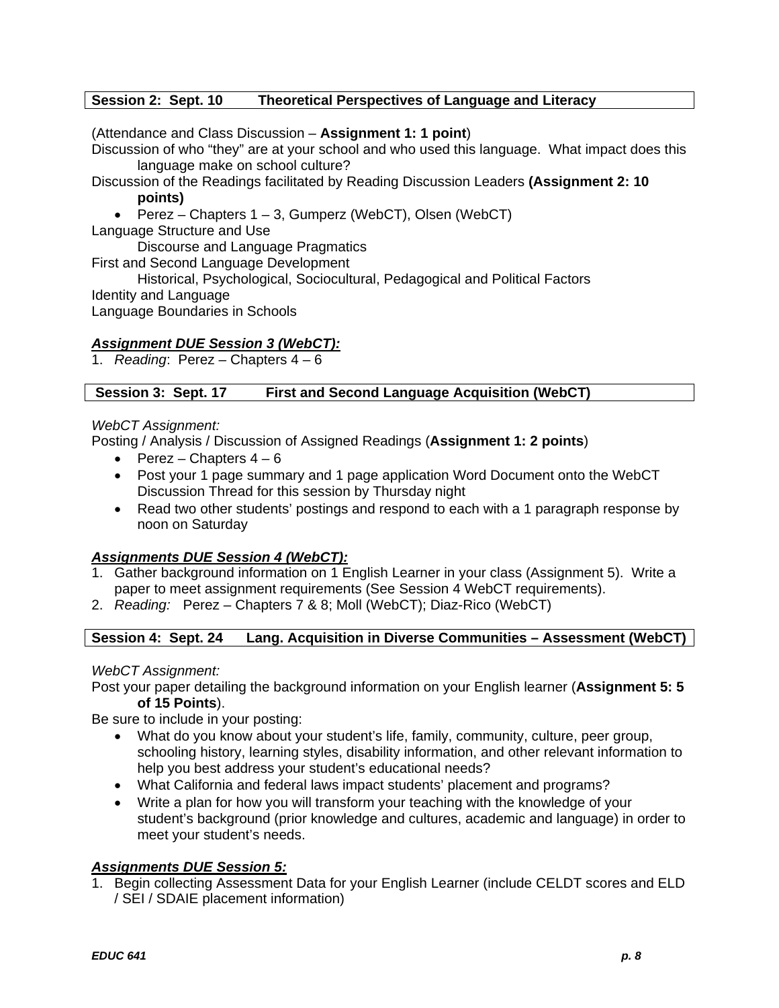### **Session 2: Sept. 10 Theoretical Perspectives of Language and Literacy**

(Attendance and Class Discussion – **Assignment 1: 1 point**)

Discussion of who "they" are at your school and who used this language. What impact does this language make on school culture?

Discussion of the Readings facilitated by Reading Discussion Leaders **(Assignment 2: 10 points)** 

• Perez – Chapters 1 – 3, Gumperz (WebCT), Olsen (WebCT)

Language Structure and Use

Discourse and Language Pragmatics

First and Second Language Development

Historical, Psychological, Sociocultural, Pedagogical and Political Factors

Identity and Language

Language Boundaries in Schools

### *Assignment DUE Session 3 (WebCT):*

1. *Reading*: Perez – Chapters 4 – 6

#### Session 3: Sept. 17 **First and Second Language Acquisition (WebCT)**

### *WebCT Assignment:*

Posting / Analysis / Discussion of Assigned Readings (**Assignment 1: 2 points**)

- Perez Chapters  $4 6$
- Post your 1 page summary and 1 page application Word Document onto the WebCT Discussion Thread for this session by Thursday night
- Read two other students' postings and respond to each with a 1 paragraph response by noon on Saturday

### *Assignments DUE Session 4 (WebCT):*

- 1. Gather background information on 1 English Learner in your class (Assignment 5). Write a paper to meet assignment requirements (See Session 4 WebCT requirements).
- 2. *Reading:* Perez Chapters 7 & 8; Moll (WebCT); Diaz-Rico (WebCT)

#### **Session 4: Sept. 24** Lang. Acquisition in Diverse Communities – Assessment (WebCT)

*WebCT Assignment:* 

Post your paper detailing the background information on your English learner (**Assignment 5: 5 of 15 Points**).

Be sure to include in your posting:

- What do you know about your student's life, family, community, culture, peer group, schooling history, learning styles, disability information, and other relevant information to help you best address your student's educational needs?
- What California and federal laws impact students' placement and programs?
- Write a plan for how you will transform your teaching with the knowledge of your student's background (prior knowledge and cultures, academic and language) in order to meet your student's needs.

### *Assignments DUE Session 5:*

1. Begin collecting Assessment Data for your English Learner (include CELDT scores and ELD / SEI / SDAIE placement information)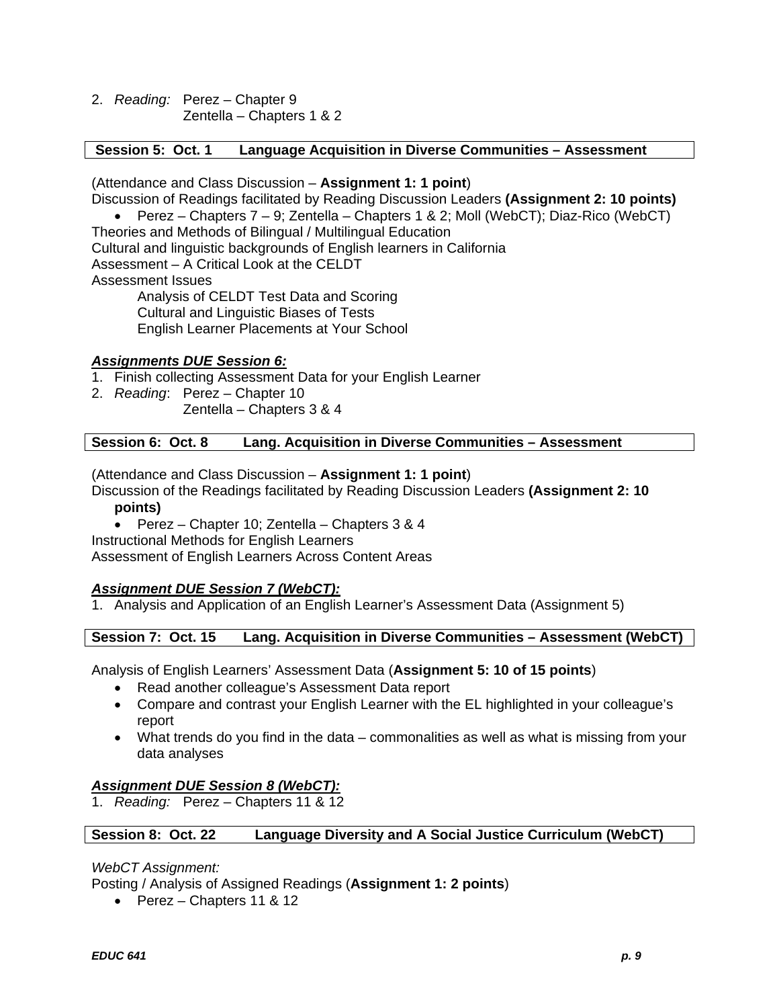2. *Reading:* Perez – Chapter 9 Zentella – Chapters 1 & 2

### **Session 5: Oct. 1 Language Acquisition in Diverse Communities – Assessment**

(Attendance and Class Discussion – **Assignment 1: 1 point**)

Discussion of Readings facilitated by Reading Discussion Leaders **(Assignment 2: 10 points)** 

• Perez – Chapters 7 – 9; Zentella – Chapters 1 & 2; Moll (WebCT); Diaz-Rico (WebCT) Theories and Methods of Bilingual / Multilingual Education

Cultural and linguistic backgrounds of English learners in California

Assessment – A Critical Look at the CELDT

Assessment Issues

Analysis of CELDT Test Data and Scoring Cultural and Linguistic Biases of Tests English Learner Placements at Your School

### *Assignments DUE Session 6:*

1. Finish collecting Assessment Data for your English Learner

2. *Reading*: Perez – Chapter 10

Zentella – Chapters 3 & 4

Session 6: Oct. 8 **Lang. Acquisition in Diverse Communities – Assessment** 

(Attendance and Class Discussion – **Assignment 1: 1 point**)

Discussion of the Readings facilitated by Reading Discussion Leaders **(Assignment 2: 10 points)** 

• Perez – Chapter 10; Zentella – Chapters 3 & 4

Instructional Methods for English Learners

Assessment of English Learners Across Content Areas

### *Assignment DUE Session 7 (WebCT):*

1. Analysis and Application of an English Learner's Assessment Data (Assignment 5)

### **Session 7: Oct. 15 Lang. Acquisition in Diverse Communities – Assessment (WebCT)**

Analysis of English Learners' Assessment Data (**Assignment 5: 10 of 15 points**)

- Read another colleague's Assessment Data report
- Compare and contrast your English Learner with the EL highlighted in your colleague's report
- What trends do you find in the data commonalities as well as what is missing from your data analyses

## *Assignment DUE Session 8 (WebCT):*

1. *Reading:* Perez – Chapters 11 & 12

#### **Session 8: Oct. 22 Language Diversity and A Social Justice Curriculum (WebCT)**

### *WebCT Assignment:*

Posting / Analysis of Assigned Readings (**Assignment 1: 2 points**)

• Perez – Chapters 11 & 12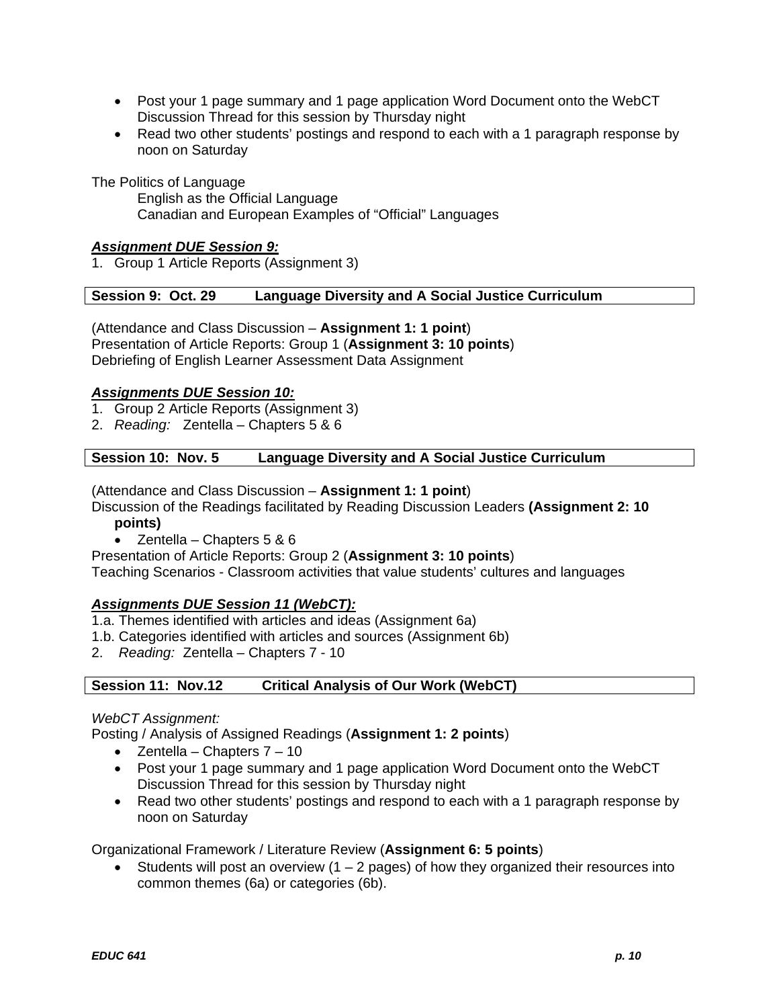- Post your 1 page summary and 1 page application Word Document onto the WebCT Discussion Thread for this session by Thursday night
- Read two other students' postings and respond to each with a 1 paragraph response by noon on Saturday

The Politics of Language

English as the Official Language Canadian and European Examples of "Official" Languages

### *Assignment DUE Session 9:*

1. Group 1 Article Reports (Assignment 3)

### **Session 9: Oct. 29 Language Diversity and A Social Justice Curriculum**

(Attendance and Class Discussion – **Assignment 1: 1 point**) Presentation of Article Reports: Group 1 (**Assignment 3: 10 points**) Debriefing of English Learner Assessment Data Assignment

### *Assignments DUE Session 10:*

- 1. Group 2 Article Reports (Assignment 3)
- 2. *Reading:* Zentella Chapters 5 & 6

### **Session 10: Nov. 5 Language Diversity and A Social Justice Curriculum**

(Attendance and Class Discussion – **Assignment 1: 1 point**)

Discussion of the Readings facilitated by Reading Discussion Leaders **(Assignment 2: 10** 

- **points)**
- Zentella Chapters 5 & 6

Presentation of Article Reports: Group 2 (**Assignment 3: 10 points**)

Teaching Scenarios - Classroom activities that value students' cultures and languages

### *Assignments DUE Session 11 (WebCT):*

- 1.a. Themes identified with articles and ideas (Assignment 6a)
- 1.b. Categories identified with articles and sources (Assignment 6b)
- 2. *Reading:* Zentella Chapters 7 10

#### **Session 11: Nov.12 Critical Analysis of Our Work (WebCT)**

### *WebCT Assignment:*

Posting / Analysis of Assigned Readings (**Assignment 1: 2 points**)

- Zentella Chapters  $7 10$
- Post your 1 page summary and 1 page application Word Document onto the WebCT Discussion Thread for this session by Thursday night
- Read two other students' postings and respond to each with a 1 paragraph response by noon on Saturday

### Organizational Framework / Literature Review (**Assignment 6: 5 points**)

• Students will post an overview  $(1 - 2)$  pages) of how they organized their resources into common themes (6a) or categories (6b).